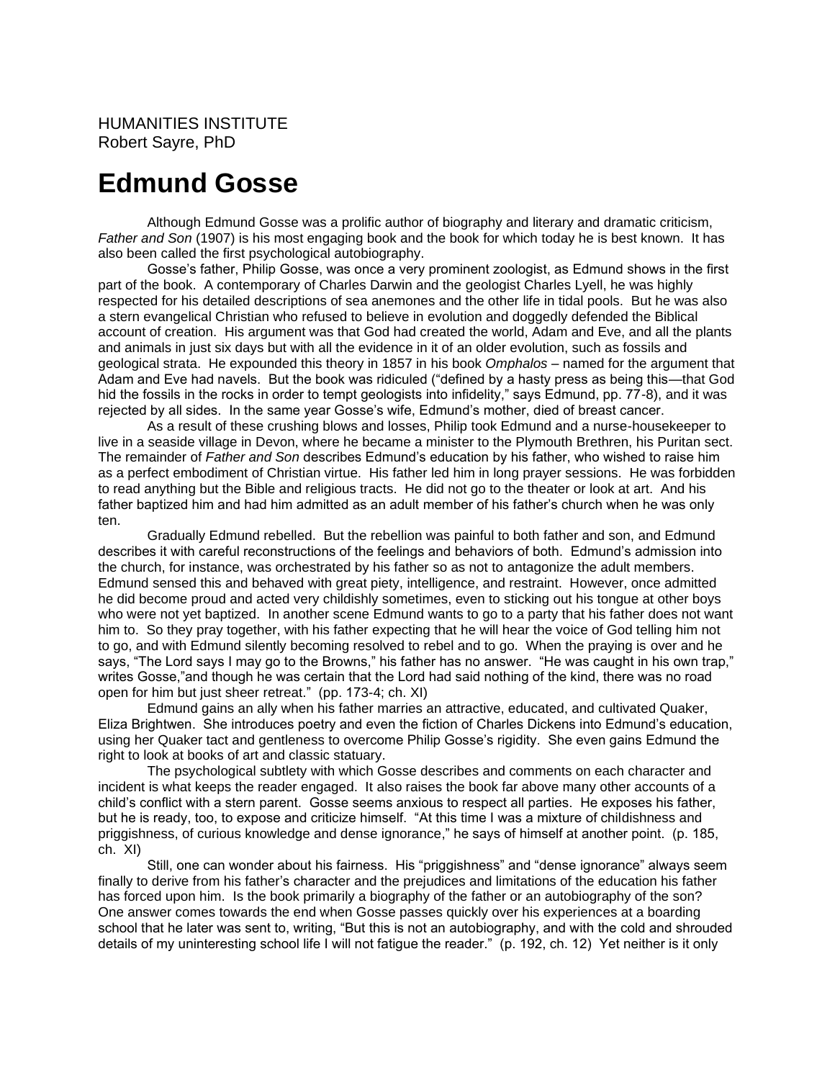## **Edmund Gosse**

Although Edmund Gosse was a prolific author of biography and literary and dramatic criticism, *Father and Son* (1907) is his most engaging book and the book for which today he is best known. It has also been called the first psychological autobiography.

Gosse's father, Philip Gosse, was once a very prominent zoologist, as Edmund shows in the first part of the book. A contemporary of Charles Darwin and the geologist Charles Lyell, he was highly respected for his detailed descriptions of sea anemones and the other life in tidal pools. But he was also a stern evangelical Christian who refused to believe in evolution and doggedly defended the Biblical account of creation. His argument was that God had created the world, Adam and Eve, and all the plants and animals in just six days but with all the evidence in it of an older evolution, such as fossils and geological strata. He expounded this theory in 1857 in his book *Omphalos* – named for the argument that Adam and Eve had navels. But the book was ridiculed ("defined by a hasty press as being this—that God hid the fossils in the rocks in order to tempt geologists into infidelity," says Edmund, pp. 77-8), and it was rejected by all sides. In the same year Gosse's wife, Edmund's mother, died of breast cancer.

As a result of these crushing blows and losses, Philip took Edmund and a nurse-housekeeper to live in a seaside village in Devon, where he became a minister to the Plymouth Brethren, his Puritan sect. The remainder of *Father and Son* describes Edmund's education by his father, who wished to raise him as a perfect embodiment of Christian virtue. His father led him in long prayer sessions. He was forbidden to read anything but the Bible and religious tracts. He did not go to the theater or look at art. And his father baptized him and had him admitted as an adult member of his father's church when he was only ten.

Gradually Edmund rebelled. But the rebellion was painful to both father and son, and Edmund describes it with careful reconstructions of the feelings and behaviors of both. Edmund's admission into the church, for instance, was orchestrated by his father so as not to antagonize the adult members. Edmund sensed this and behaved with great piety, intelligence, and restraint. However, once admitted he did become proud and acted very childishly sometimes, even to sticking out his tongue at other boys who were not yet baptized. In another scene Edmund wants to go to a party that his father does not want him to. So they pray together, with his father expecting that he will hear the voice of God telling him not to go, and with Edmund silently becoming resolved to rebel and to go. When the praying is over and he says, "The Lord says I may go to the Browns," his father has no answer. "He was caught in his own trap," writes Gosse,"and though he was certain that the Lord had said nothing of the kind, there was no road open for him but just sheer retreat." (pp. 173-4; ch. XI)

Edmund gains an ally when his father marries an attractive, educated, and cultivated Quaker, Eliza Brightwen. She introduces poetry and even the fiction of Charles Dickens into Edmund's education, using her Quaker tact and gentleness to overcome Philip Gosse's rigidity. She even gains Edmund the right to look at books of art and classic statuary.

The psychological subtlety with which Gosse describes and comments on each character and incident is what keeps the reader engaged. It also raises the book far above many other accounts of a child's conflict with a stern parent. Gosse seems anxious to respect all parties. He exposes his father, but he is ready, too, to expose and criticize himself. "At this time I was a mixture of childishness and priggishness, of curious knowledge and dense ignorance," he says of himself at another point. (p. 185, ch. XI)

Still, one can wonder about his fairness. His "priggishness" and "dense ignorance" always seem finally to derive from his father's character and the prejudices and limitations of the education his father has forced upon him. Is the book primarily a biography of the father or an autobiography of the son? One answer comes towards the end when Gosse passes quickly over his experiences at a boarding school that he later was sent to, writing, "But this is not an autobiography, and with the cold and shrouded details of my uninteresting school life I will not fatigue the reader." (p. 192, ch. 12) Yet neither is it only